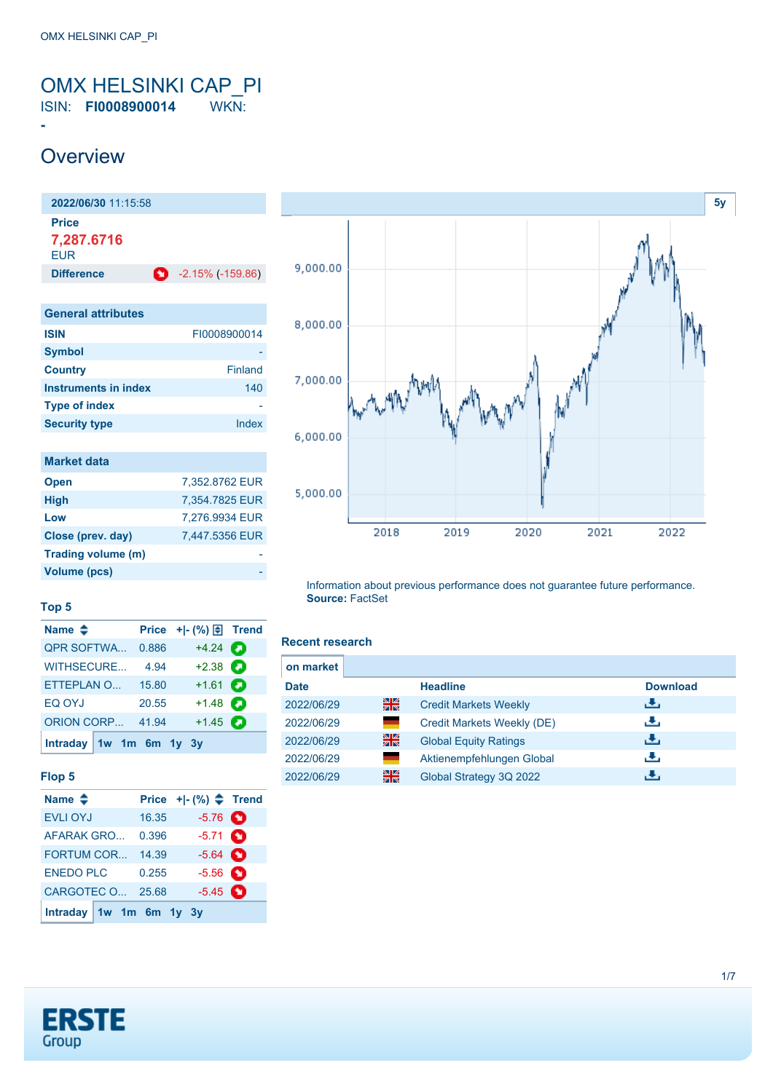# <span id="page-0-0"></span>OMX HELSINKI CAP\_PI

ISIN: **FI0008900014** WKN:

### **Overview**

**-**

**2022/06/30** 11:15:58 **Price 7,287.6716** EUR **Difference 1** -2.15% (-159.86) **General attributes ISIN** FI0008900014 **Symbol Country** Finland **Instruments in index** 140

| <b>Type of index</b> |       |
|----------------------|-------|
| <b>Security type</b> | Index |
|                      |       |
| <b>Market data</b>   |       |
|                      |       |

| <b>Open</b>        | 7,352.8762 EUR |
|--------------------|----------------|
| <b>High</b>        | 7,354.7825 EUR |
| Low                | 7,276.9934 EUR |
| Close (prev. day)  | 7,447.5356 EUR |
| Trading volume (m) |                |
| Volume (pcs)       |                |



**Top 5**

| Name $\triangle$          |       | Price $+$ $-$ (%) $\bigoplus$ Trend |  |
|---------------------------|-------|-------------------------------------|--|
| <b>QPR SOFTWA</b>         | 0.886 | $+4.24$ $\bullet$                   |  |
| <b>WITHSECURE</b>         | 4.94  | $+2.38$ $\bullet$                   |  |
| ETTEPLAN O                | 15.80 | $+1.61$ $\Box$                      |  |
| EQ OYJ                    | 20.55 | $+1.48$ $\bullet$                   |  |
| <b>ORION CORP</b>         | 41.94 | $+1.45$ $\bullet$                   |  |
| Intraday $1w$ 1m 6m 1y 3y |       |                                     |  |

#### **Flop 5**

| Name $\triangleq$       |       | Price $+$ $ (%)$ $\triangleq$ Trend |  |
|-------------------------|-------|-------------------------------------|--|
| <b>EVLI OYJ</b>         | 16.35 | $-5.76$ $\bullet$                   |  |
| AFARAK GRO              | 0.396 | $-5.71$ $\bullet$                   |  |
| FORTUM COR              | 14.39 | $-5.64$ $\bullet$                   |  |
| <b>ENEDO PLC</b>        | 0.255 | $-5.56$ $\bullet$                   |  |
| CARGOTEC O              | 25.68 | $-5.45$ $\bullet$                   |  |
| Intraday 1w 1m 6m 1y 3y |       |                                     |  |

#### **Recent research**

**Source:** FactSet

| on market   |    |                              |                 |  |
|-------------|----|------------------------------|-----------------|--|
| <b>Date</b> |    | <b>Headline</b>              | <b>Download</b> |  |
| 2022/06/29  | 을중 | <b>Credit Markets Weekly</b> | رالى            |  |
| 2022/06/29  |    | Credit Markets Weekly (DE)   | رنان            |  |
| 2022/06/29  | 을  | <b>Global Equity Ratings</b> | رنان            |  |
| 2022/06/29  |    | Aktienempfehlungen Global    | رالى            |  |
| 2022/06/29  | 을중 | Global Strategy 3Q 2022      |                 |  |

Information about previous performance does not guarantee future performance.

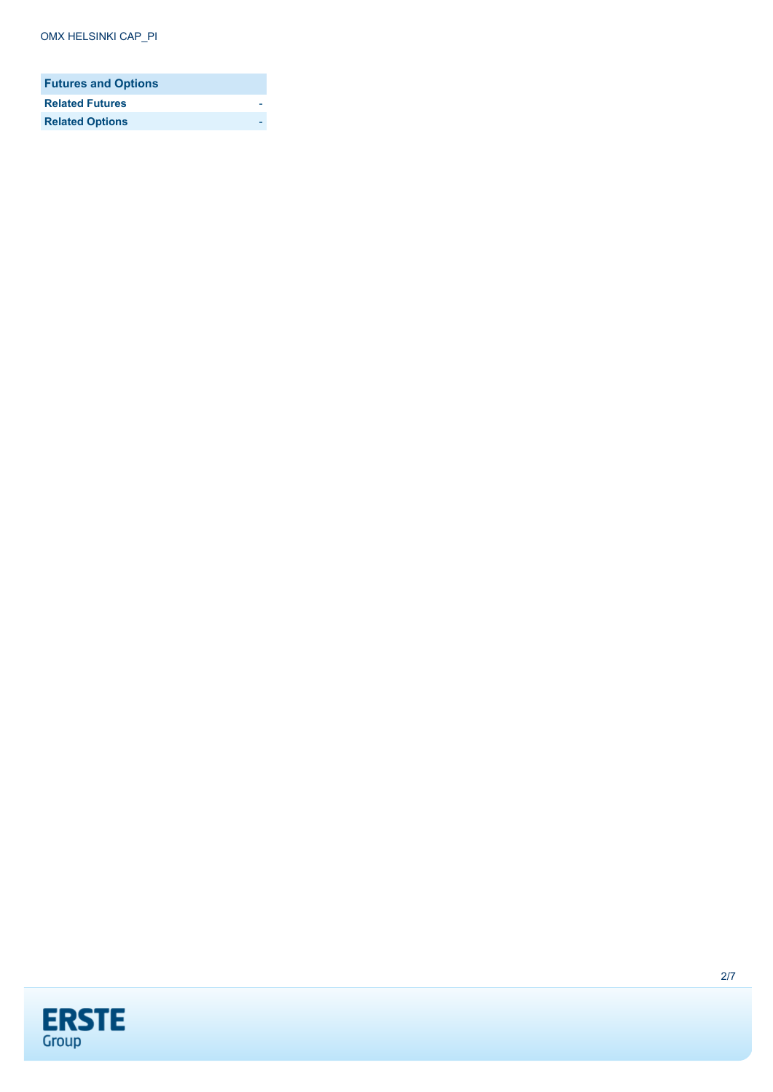| <b>Futures and Options</b> |  |
|----------------------------|--|
| <b>Related Futures</b>     |  |
| <b>Related Options</b>     |  |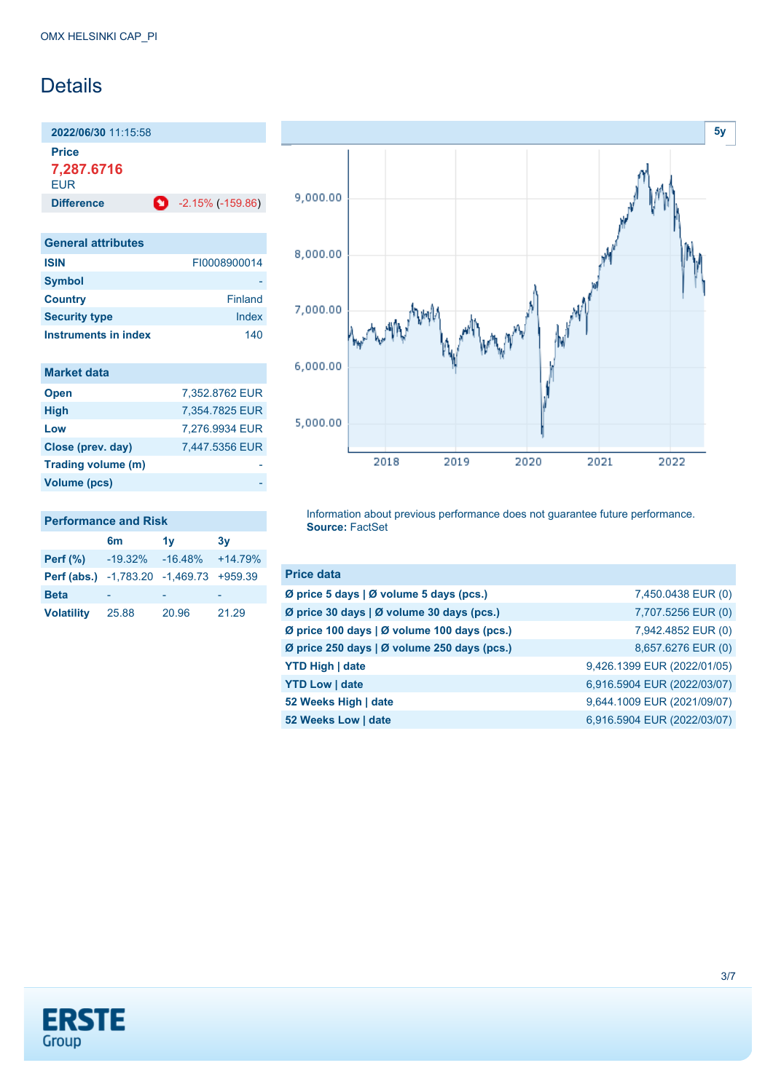### Details

**2022/06/30** 11:15:58

**Price 7,287.6716**

**EUR** 

| <b>Difference</b>         | $-2.15\%(-159.86)$ |
|---------------------------|--------------------|
|                           |                    |
| <b>General attributes</b> |                    |

| <b>ISIN</b>          | FI0008900014 |
|----------------------|--------------|
| <b>Symbol</b>        |              |
| <b>Country</b>       | Finland      |
| <b>Security type</b> | Index        |
| Instruments in index | 140          |

| <b>Market data</b> |                |
|--------------------|----------------|
| <b>Open</b>        | 7,352.8762 EUR |
| <b>High</b>        | 7,354.7825 EUR |
| Low                | 7,276.9934 EUR |
| Close (prev. day)  | 7,447.5356 EUR |
| Trading volume (m) |                |
| Volume (pcs)       |                |



Information about previous performance does not guarantee future performance. **Source:** FactSet

| <b>Price data</b>                           |                             |
|---------------------------------------------|-----------------------------|
| Ø price 5 days   Ø volume 5 days (pcs.)     | 7,450,0438 EUR (0)          |
| Ø price 30 days   Ø volume 30 days (pcs.)   | 7,707.5256 EUR (0)          |
| Ø price 100 days   Ø volume 100 days (pcs.) | 7,942.4852 EUR (0)          |
| Ø price 250 days   Ø volume 250 days (pcs.) | 8,657.6276 EUR (0)          |
| <b>YTD High   date</b>                      | 9,426.1399 EUR (2022/01/05) |
| <b>YTD Low   date</b>                       | 6,916.5904 EUR (2022/03/07) |
| 52 Weeks High   date                        | 9,644.1009 EUR (2021/09/07) |
| 52 Weeks Low   date                         | 6,916.5904 EUR (2022/03/07) |



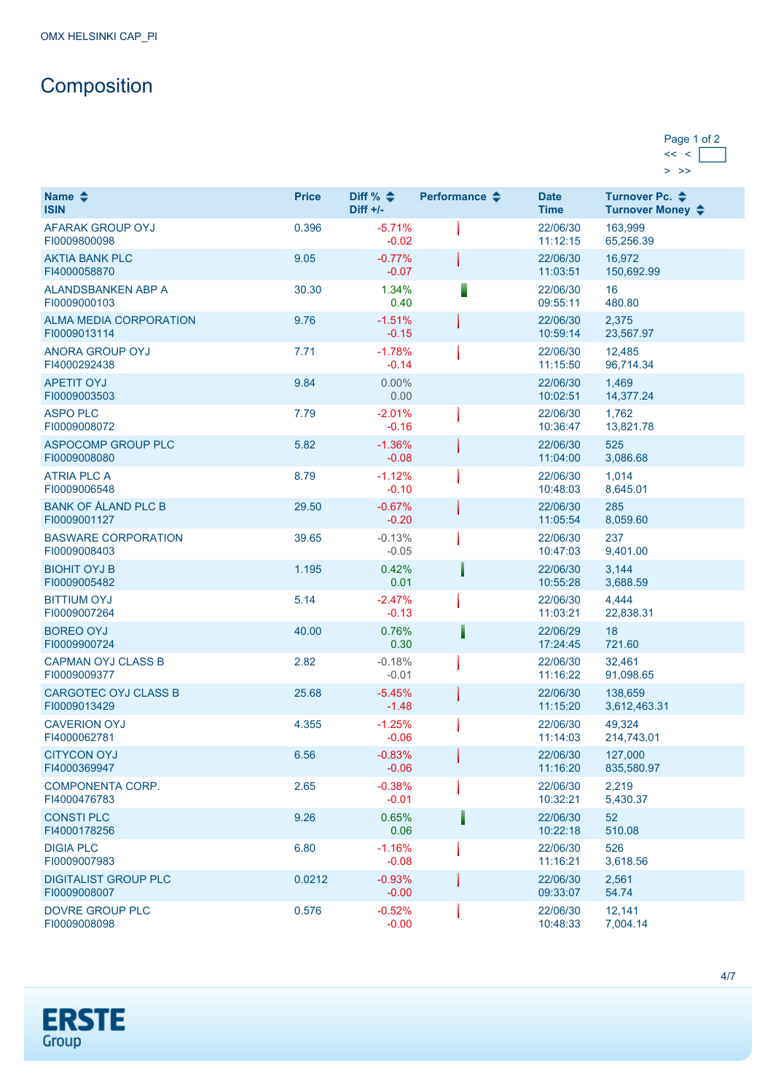## **Composition**

### Page 1 of 2  $<< <$  $>$   $>$

| Name $\triangleq$<br><b>ISIN</b>              | <b>Price</b> | Diff % $\triangleq$<br>$Diff +/-$ | Performance $\triangle$ | <b>Date</b><br><b>Time</b> | Turnover Pc. <b>←</b><br>Turnover Money ♦ |
|-----------------------------------------------|--------------|-----------------------------------|-------------------------|----------------------------|-------------------------------------------|
| AFARAK GROUP OYJ<br>FI0009800098              | 0.396        | $-5.71%$<br>$-0.02$               |                         | 22/06/30<br>11:12:15       | 163,999<br>65,256.39                      |
| <b>AKTIA BANK PLC</b><br>FI4000058870         | 9.05         | $-0.77%$<br>$-0.07$               |                         | 22/06/30<br>11:03:51       | 16,972<br>150,692.99                      |
| ALANDSBANKEN ABP A<br>FI0009000103            | 30.30        | 1.34%<br>0.40                     |                         | 22/06/30<br>09:55:11       | 16<br>480.80                              |
| <b>ALMA MEDIA CORPORATION</b><br>FI0009013114 | 9.76         | $-1.51%$<br>$-0.15$               |                         | 22/06/30<br>10:59:14       | 2,375<br>23,567.97                        |
| ANORA GROUP OYJ<br>FI4000292438               | 7.71         | $-1.78%$<br>$-0.14$               |                         | 22/06/30<br>11:15:50       | 12.485<br>96,714.34                       |
| <b>APETIT OYJ</b><br>FI0009003503             | 9.84         | $0.00\%$<br>0.00                  |                         | 22/06/30<br>10:02:51       | 1,469<br>14,377.24                        |
| <b>ASPO PLC</b><br>FI0009008072               | 7.79         | $-2.01%$<br>$-0.16$               |                         | 22/06/30<br>10:36:47       | 1,762<br>13,821.78                        |
| ASPOCOMP GROUP PLC<br>FI0009008080            | 5.82         | $-1.36%$<br>$-0.08$               |                         | 22/06/30<br>11:04:00       | 525<br>3,086.68                           |
| <b>ATRIA PLC A</b><br>FI0009006548            | 8.79         | $-1.12%$<br>$-0.10$               |                         | 22/06/30<br>10:48:03       | 1,014<br>8,645.01                         |
| <b>BANK OF ÅLAND PLC B</b><br>FI0009001127    | 29.50        | $-0.67%$<br>$-0.20$               |                         | 22/06/30<br>11:05:54       | 285<br>8,059.60                           |
| <b>BASWARE CORPORATION</b><br>FI0009008403    | 39.65        | $-0.13%$<br>$-0.05$               |                         | 22/06/30<br>10:47:03       | 237<br>9,401.00                           |
| <b>BIOHIT OYJ B</b><br>FI0009005482           | 1.195        | 0.42%<br>0.01                     |                         | 22/06/30<br>10:55:28       | 3,144<br>3,688.59                         |
| <b>BITTIUM OYJ</b><br>FI0009007264            | 5.14         | $-2.47%$<br>$-0.13$               |                         | 22/06/30<br>11:03:21       | 4,444<br>22,838.31                        |
| <b>BOREO OYJ</b><br>FI0009900724              | 40.00        | 0.76%<br>0.30                     |                         | 22/06/29<br>17:24:45       | 18<br>721.60                              |
| <b>CAPMAN OYJ CLASS B</b><br>FI0009009377     | 2.82         | $-0.18%$<br>$-0.01$               |                         | 22/06/30<br>11:16:22       | 32,461<br>91,098.65                       |
| <b>CARGOTEC OYJ CLASS B</b><br>FI0009013429   | 25.68        | $-5.45%$<br>$-1.48$               |                         | 22/06/30<br>11:15:20       | 138,659<br>3,612,463.31                   |
| <b>CAVERION OYJ</b><br>FI4000062781           | 4.355        | $-1.25%$<br>$-0.06$               |                         | 22/06/30<br>11:14:03       | 49,324<br>214,743.01                      |
| <b>CITYCON OYJ</b><br>FI4000369947            | 6.56         | $-0.83%$<br>$-0.06$               |                         | 22/06/30<br>11:16:20       | 127,000<br>835,580.97                     |
| <b>COMPONENTA CORP.</b><br>FI4000476783       | 2.65         | $-0.38%$<br>$-0.01$               |                         | 22/06/30<br>10:32:21       | 2,219<br>5,430.37                         |
| <b>CONSTI PLC</b><br>FI4000178256             | 9.26         | 0.65%<br>0.06                     |                         | 22/06/30<br>10:22:18       | 52<br>510.08                              |
| <b>DIGIA PLC</b><br>FI0009007983              | 6.80         | $-1.16%$<br>$-0.08$               |                         | 22/06/30<br>11:16:21       | 526<br>3,618.56                           |
| <b>DIGITALIST GROUP PLC</b><br>FI0009008007   | 0.0212       | $-0.93%$<br>$-0.00$               |                         | 22/06/30<br>09:33:07       | 2,561<br>54.74                            |
| <b>DOVRE GROUP PLC</b><br>FI0009008098        | 0.576        | $-0.52%$<br>$-0.00$               |                         | 22/06/30<br>10:48:33       | 12,141<br>7,004.14                        |

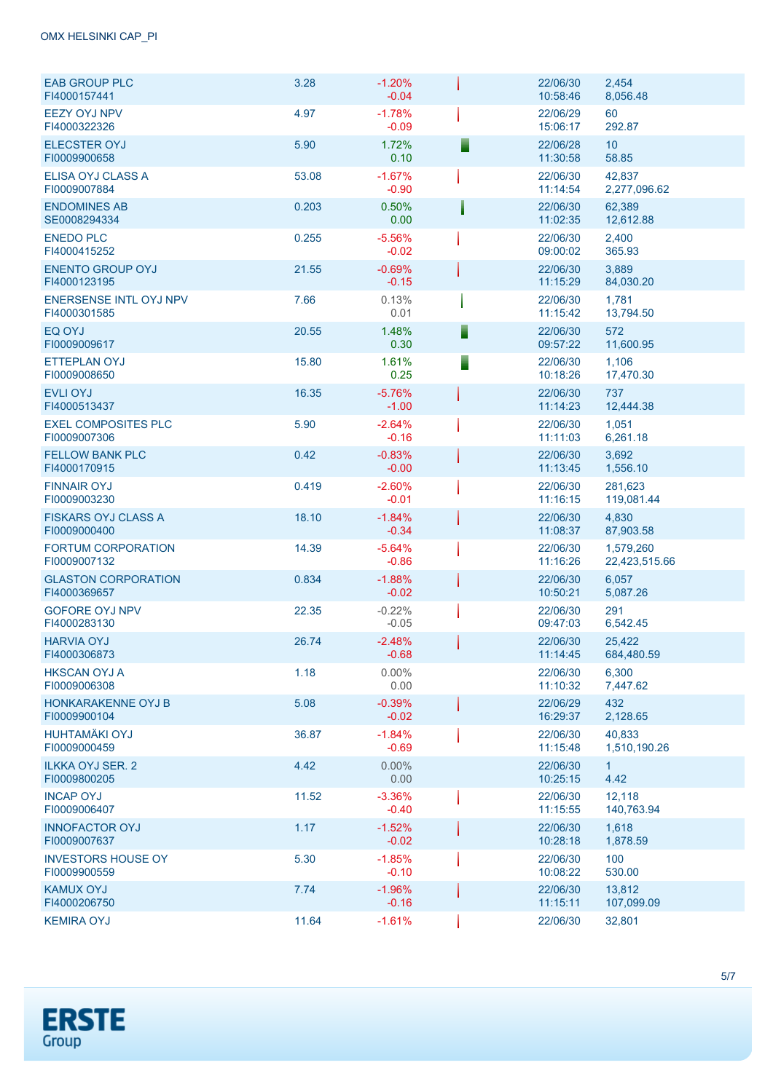| <b>EAB GROUP PLC</b><br>FI4000157441          | 3.28  | $-1.20%$<br>$-0.04$ | 22/06/30<br>10:58:46 | 2,454<br>8,056.48          |
|-----------------------------------------------|-------|---------------------|----------------------|----------------------------|
| <b>EEZY OYJ NPV</b><br>FI4000322326           | 4.97  | $-1.78%$<br>$-0.09$ | 22/06/29<br>15:06:17 | 60<br>292.87               |
| <b>ELECSTER OYJ</b><br>FI0009900658           | 5.90  | 1.72%<br>0.10       | 22/06/28<br>11:30:58 | 10 <sup>°</sup><br>58.85   |
| ELISA OYJ CLASS A<br>FI0009007884             | 53.08 | $-1.67%$<br>$-0.90$ | 22/06/30<br>11:14:54 | 42,837<br>2,277,096.62     |
| <b>ENDOMINES AB</b><br>SE0008294334           | 0.203 | 0.50%<br>0.00       | 22/06/30<br>11:02:35 | 62.389<br>12,612.88        |
| <b>ENEDO PLC</b><br>FI4000415252              | 0.255 | $-5.56%$<br>$-0.02$ | 22/06/30<br>09:00:02 | 2,400<br>365.93            |
| <b>ENENTO GROUP OYJ</b><br>FI4000123195       | 21.55 | $-0.69%$<br>$-0.15$ | 22/06/30<br>11:15:29 | 3,889<br>84,030.20         |
| <b>ENERSENSE INTL OYJ NPV</b><br>FI4000301585 | 7.66  | 0.13%<br>0.01       | 22/06/30<br>11:15:42 | 1,781<br>13,794.50         |
| EQ OYJ<br>FI0009009617                        | 20.55 | 1.48%<br>0.30       | 22/06/30<br>09:57:22 | 572<br>11,600.95           |
| <b>ETTEPLAN OYJ</b><br>FI0009008650           | 15.80 | 1.61%<br>0.25       | 22/06/30<br>10:18:26 | 1,106<br>17,470.30         |
| <b>EVLI OYJ</b><br>FI4000513437               | 16.35 | $-5.76%$<br>$-1.00$ | 22/06/30<br>11:14:23 | 737<br>12,444.38           |
| <b>EXEL COMPOSITES PLC</b><br>FI0009007306    | 5.90  | $-2.64%$<br>$-0.16$ | 22/06/30<br>11:11:03 | 1,051<br>6,261.18          |
| <b>FELLOW BANK PLC</b><br>FI4000170915        | 0.42  | $-0.83%$<br>$-0.00$ | 22/06/30<br>11:13:45 | 3,692<br>1,556.10          |
| <b>FINNAIR OYJ</b><br>FI0009003230            | 0.419 | $-2.60%$<br>$-0.01$ | 22/06/30<br>11:16:15 | 281,623<br>119,081.44      |
| <b>FISKARS OYJ CLASS A</b><br>FI0009000400    | 18.10 | $-1.84%$<br>$-0.34$ | 22/06/30<br>11:08:37 | 4,830<br>87,903.58         |
| FORTUM CORPORATION<br>FI0009007132            | 14.39 | $-5.64%$<br>$-0.86$ | 22/06/30<br>11:16:26 | 1,579,260<br>22,423,515.66 |
| <b>GLASTON CORPORATION</b><br>FI4000369657    | 0.834 | $-1.88%$<br>$-0.02$ | 22/06/30<br>10:50:21 | 6,057<br>5,087.26          |
| <b>GOFORE OYJ NPV</b><br>FI4000283130         | 22.35 | $-0.22%$<br>$-0.05$ | 22/06/30<br>09:47:03 | 291<br>6,542.45            |
| <b>HARVIA OYJ</b><br>FI4000306873             | 26.74 | $-2.48%$<br>$-0.68$ | 22/06/30<br>11:14:45 | 25,422<br>684,480.59       |
| <b>HKSCAN OYJ A</b><br>FI0009006308           | 1.18  | $0.00\%$<br>0.00    | 22/06/30<br>11:10:32 | 6,300<br>7,447.62          |
| <b>HONKARAKENNE OYJ B</b><br>FI0009900104     | 5.08  | $-0.39%$<br>$-0.02$ | 22/06/29<br>16:29:37 | 432<br>2,128.65            |
| <b>HUHTAMÄKI OYJ</b><br>FI0009000459          | 36.87 | $-1.84%$<br>$-0.69$ | 22/06/30<br>11:15:48 | 40.833<br>1,510,190.26     |
| <b>ILKKA OYJ SER. 2</b><br>FI0009800205       | 4.42  | $0.00\%$<br>0.00    | 22/06/30<br>10:25:15 | 1 <sup>1</sup><br>4.42     |
| <b>INCAP OYJ</b><br>FI0009006407              | 11.52 | $-3.36%$<br>$-0.40$ | 22/06/30<br>11:15:55 | 12,118<br>140,763.94       |
| <b>INNOFACTOR OYJ</b><br>FI0009007637         | 1.17  | $-1.52%$<br>$-0.02$ | 22/06/30<br>10:28:18 | 1,618<br>1,878.59          |
| <b>INVESTORS HOUSE OY</b><br>FI0009900559     | 5.30  | $-1.85%$<br>$-0.10$ | 22/06/30<br>10:08:22 | 100<br>530.00              |
| <b>KAMUX OYJ</b><br>FI4000206750              | 7.74  | $-1.96%$<br>$-0.16$ | 22/06/30<br>11:15:11 | 13,812<br>107,099.09       |
| <b>KEMIRA OYJ</b>                             | 11.64 | $-1.61%$            | 22/06/30             | 32,801                     |

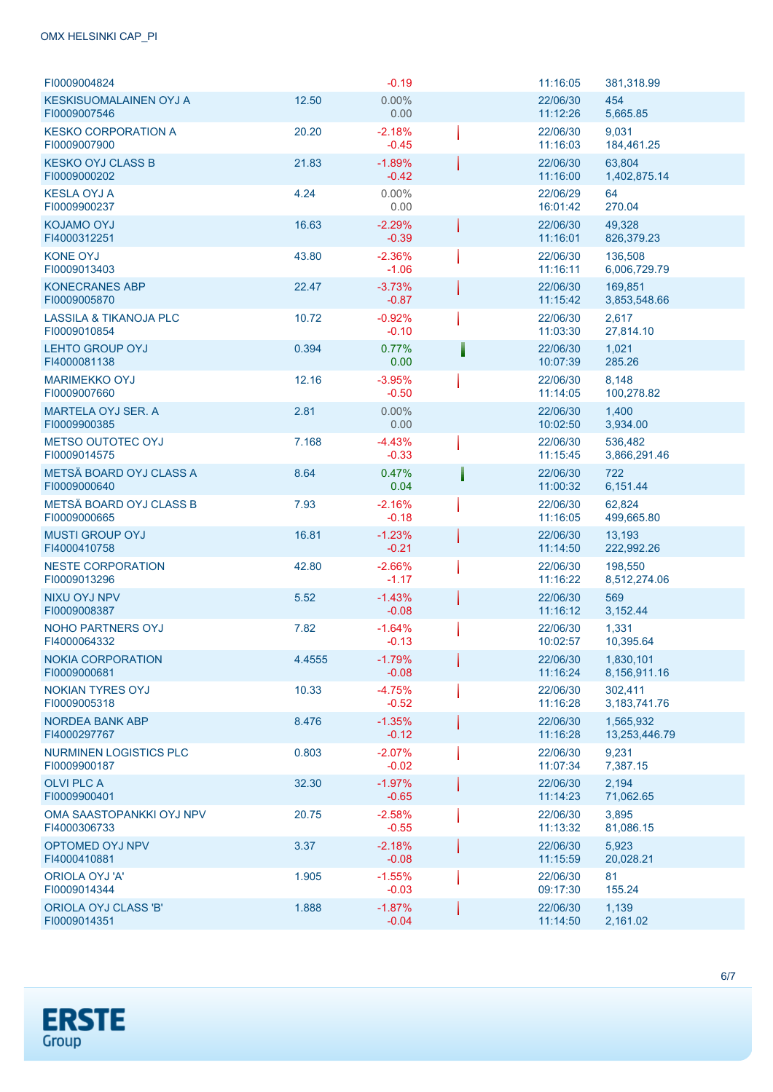### OMX HELSINKI CAP\_PI

| FI0009004824                                      |        | $-0.19$              | 11:16:05             | 381,318.99                 |
|---------------------------------------------------|--------|----------------------|----------------------|----------------------------|
| KESKISUOMALAINEN OYJ A<br>FI0009007546            | 12.50  | $0.00\%$<br>0.00     | 22/06/30<br>11:12:26 | 454<br>5,665.85            |
| <b>KESKO CORPORATION A</b><br>FI0009007900        | 20.20  | $-2.18%$<br>$-0.45$  | 22/06/30<br>11:16:03 | 9,031<br>184,461.25        |
| <b>KESKO OYJ CLASS B</b><br>FI0009000202          | 21.83  | $-1.89%$<br>$-0.42$  | 22/06/30<br>11:16:00 | 63,804<br>1,402,875.14     |
| <b>KESLA OYJ A</b><br>FI0009900237                | 4.24   | $0.00\%$<br>0.00     | 22/06/29<br>16:01:42 | 64<br>270.04               |
| <b>KOJAMO OYJ</b><br>FI4000312251                 | 16.63  | $-2.29%$<br>$-0.39$  | 22/06/30<br>11:16:01 | 49.328<br>826,379.23       |
| <b>KONE OYJ</b><br>FI0009013403                   | 43.80  | $-2.36%$<br>$-1.06$  | 22/06/30<br>11:16:11 | 136,508<br>6,006,729.79    |
| <b>KONECRANES ABP</b><br>FI0009005870             | 22.47  | $-3.73%$<br>$-0.87$  | 22/06/30<br>11:15:42 | 169,851<br>3,853,548.66    |
| <b>LASSILA &amp; TIKANOJA PLC</b><br>FI0009010854 | 10.72  | $-0.92%$<br>$-0.10$  | 22/06/30<br>11:03:30 | 2,617<br>27,814.10         |
| <b>LEHTO GROUP OYJ</b><br>FI4000081138            | 0.394  | 0.77%<br>0.00        | 22/06/30<br>10:07:39 | 1,021<br>285.26            |
| <b>MARIMEKKO OYJ</b><br>FI0009007660              | 12.16  | $-3.95%$<br>$-0.50$  | 22/06/30<br>11:14:05 | 8,148<br>100,278.82        |
| MARTELA OYJ SER. A<br>FI0009900385                | 2.81   | $0.00\%$<br>0.00     | 22/06/30<br>10:02:50 | 1,400<br>3,934.00          |
| <b>METSO OUTOTEC OYJ</b><br>FI0009014575          | 7.168  | $-4.43%$<br>$-0.33$  | 22/06/30<br>11:15:45 | 536.482<br>3,866,291.46    |
| METSÄ BOARD OYJ CLASS A<br>FI0009000640           | 8.64   | 0.47%<br>0.04        | 22/06/30<br>11:00:32 | 722<br>6,151.44            |
| METSÄ BOARD OYJ CLASS B<br>FI0009000665           | 7.93   | $-2.16%$<br>$-0.18$  | 22/06/30<br>11:16:05 | 62,824<br>499,665.80       |
| <b>MUSTI GROUP OYJ</b><br>FI4000410758            | 16.81  | $-1.23%$<br>$-0.21$  | 22/06/30<br>11:14:50 | 13,193<br>222,992.26       |
| <b>NESTE CORPORATION</b><br>FI0009013296          | 42.80  | $-2.66%$<br>$-1.17$  | 22/06/30<br>11:16:22 | 198,550<br>8,512,274.06    |
| <b>NIXU OYJ NPV</b><br>FI0009008387               | 5.52   | $-1.43%$<br>$-0.08$  | 22/06/30<br>11:16:12 | 569<br>3,152.44            |
| <b>NOHO PARTNERS OYJ</b><br>FI4000064332          | 7.82   | $-1.64%$<br>$-0.13$  | 22/06/30<br>10:02:57 | 1,331<br>10,395.64         |
| <b>NOKIA CORPORATION</b><br>FI0009000681          | 4.4555 | $-1.79%$<br>$-0.08$  | 22/06/30<br>11:16:24 | 1,830,101<br>8,156,911.16  |
| <b>NOKIAN TYRES OYJ</b><br>FI0009005318           | 10.33  | $-4.75%$<br>$-0.52$  | 22/06/30<br>11:16:28 | 302,411<br>3, 183, 741. 76 |
| <b>NORDEA BANK ABP</b><br>FI4000297767            | 8.476  | $-1.35%$<br>$-0.12$  | 22/06/30<br>11:16:28 | 1,565,932<br>13,253,446.79 |
| NURMINEN LOGISTICS PLC<br>FI0009900187            | 0.803  | $-2.07%$<br>$-0.02$  | 22/06/30<br>11:07:34 | 9,231<br>7,387.15          |
| <b>OLVI PLC A</b><br>FI0009900401                 | 32.30  | $-1.97%$<br>$-0.65$  | 22/06/30<br>11:14:23 | 2,194<br>71,062.65         |
| OMA SAASTOPANKKI OYJ NPV<br>FI4000306733          | 20.75  | $-2.58%$<br>$-0.55$  | 22/06/30<br>11:13:32 | 3,895<br>81,086.15         |
| <b>OPTOMED OYJ NPV</b><br>FI4000410881            | 3.37   | $-2.18%$<br>$-0.08$  | 22/06/30<br>11:15:59 | 5,923<br>20,028.21         |
| <b>ORIOLA OYJ'A'</b><br>FI0009014344              | 1.905  | $-1.55\%$<br>$-0.03$ | 22/06/30<br>09:17:30 | 81<br>155.24               |
| ORIOLA OYJ CLASS 'B'<br>FI0009014351              | 1.888  | $-1.87%$<br>$-0.04$  | 22/06/30<br>11:14:50 | 1,139<br>2,161.02          |